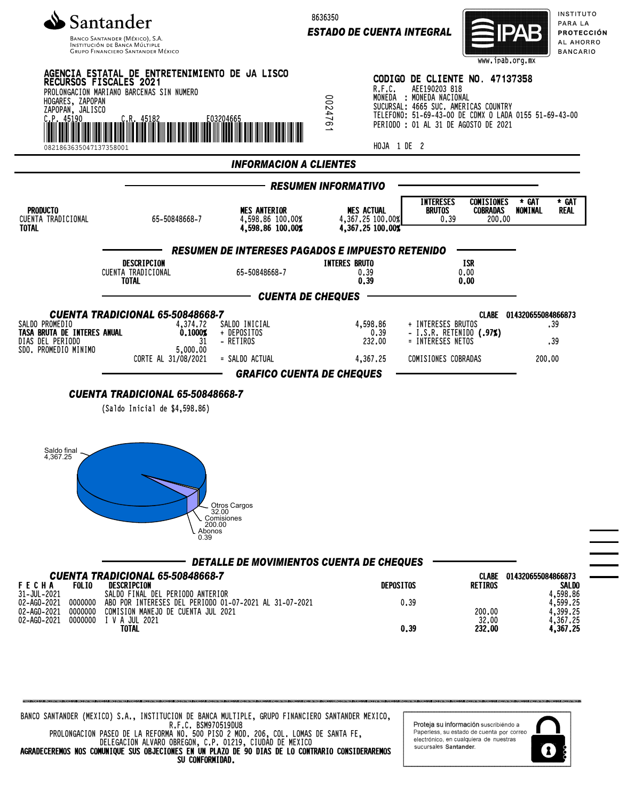

Banco Santander (México), S.A.<br>Institución de Banca Múltiple<br>Grupo Financiero Santander México

8636350

*ESTADO DE CUENTA INTEGRAL*



sucursales Santander.

 $\mathbf{r}$ 

INSTITUTO PARA LA **PROTECCIÓN** AL AHORRO **BANCARIO** 

| <b>MES ANTERIOR</b><br>65-50848668-7<br>4,598.86 100.00%<br>4,598,86 100,00%<br><b>RESUMEN DE INTERESES PAGADOS E IMPUESTO RETENIDO</b><br>DESCRIPCION<br>CUENTA TRADICIONAL<br>65-50848668-7<br><b>CUENTA TRADICIONAL 65-50848668-7</b> | <b>INFORMACION A CLIENTES</b><br><b>RESUMEN INFORMATIVO</b><br><b>MES ACTUAL</b><br>4,367.25 100.00%<br>4,367.25 100.00%<br><b>INTERES BRUTO</b><br>0.39<br>0.39<br><b>CUENTA DE CHEQUES</b> | <b>INTERESES</b><br><b>BRUTOS</b>                | <b>COMISIONES</b><br><b>COBRADAS</b><br>200.00<br>0.39<br>ISR<br>0.00 | * GAT<br>* GAT<br>NOMINAL<br>Real       |
|------------------------------------------------------------------------------------------------------------------------------------------------------------------------------------------------------------------------------------------|----------------------------------------------------------------------------------------------------------------------------------------------------------------------------------------------|--------------------------------------------------|-----------------------------------------------------------------------|-----------------------------------------|
|                                                                                                                                                                                                                                          |                                                                                                                                                                                              |                                                  |                                                                       |                                         |
|                                                                                                                                                                                                                                          |                                                                                                                                                                                              |                                                  |                                                                       |                                         |
|                                                                                                                                                                                                                                          |                                                                                                                                                                                              |                                                  |                                                                       |                                         |
|                                                                                                                                                                                                                                          |                                                                                                                                                                                              |                                                  |                                                                       |                                         |
|                                                                                                                                                                                                                                          |                                                                                                                                                                                              |                                                  | 0.00                                                                  |                                         |
|                                                                                                                                                                                                                                          |                                                                                                                                                                                              |                                                  |                                                                       |                                         |
| 4,374.72<br>SALDO INICIAL<br>0.1000%<br>+ DEPOSITOS<br>- RETIROS<br>31<br>5,000.00                                                                                                                                                       | 4,598.86<br>232,00                                                                                                                                                                           | + INTERESES BRUTOS<br>0, 39<br>= INTERESES NETOS | - I.S.R. RETENIDO (.97%)                                              | CLABE 014320655084866873<br>.39<br>.39  |
| CORTE AL 31/08/2021<br>= SALDO ACTUAL                                                                                                                                                                                                    | 4,367.25                                                                                                                                                                                     |                                                  | COMISIONES COBRADAS                                                   | 200,00                                  |
| <b>Otros Cargos</b><br>32.00<br>Comisiones<br>200.00                                                                                                                                                                                     |                                                                                                                                                                                              |                                                  |                                                                       |                                         |
| Abonos<br>0.39                                                                                                                                                                                                                           |                                                                                                                                                                                              |                                                  |                                                                       |                                         |
| DETALLE DE MOVIMIENTOS CUENTA DE CHEQUES                                                                                                                                                                                                 |                                                                                                                                                                                              |                                                  |                                                                       |                                         |
| <b>CUENTA TRADICIONAL 65-50848668-7</b><br>SALDO FINAL DEL PERIODO ANTERIOR                                                                                                                                                              |                                                                                                                                                                                              | <b>DEPOSITOS</b>                                 | <b>CLABE</b><br><b>RETIROS</b>                                        | 014320655084866873<br>SALDO<br>4,598.86 |
|                                                                                                                                                                                                                                          | <b>CUENTA TRADICIONAL 65-50848668-7</b><br>(Saldo Inicial de \$4,598.86)                                                                                                                     |                                                  | <b>GRAFICO CUENTA DE CHEQUES</b>                                      |                                         |

DELEGACION ALVARO OBREGON, C.P. 01219, CIUDAD DE MEXICO AGRADECEREMOS NOS COMUNIQUE SUS OBJECIONES EN UN PLAZO DE 90 DIAS DE LO CONTRARIO CONSIDERAREMOS SU CONFORMIDAD.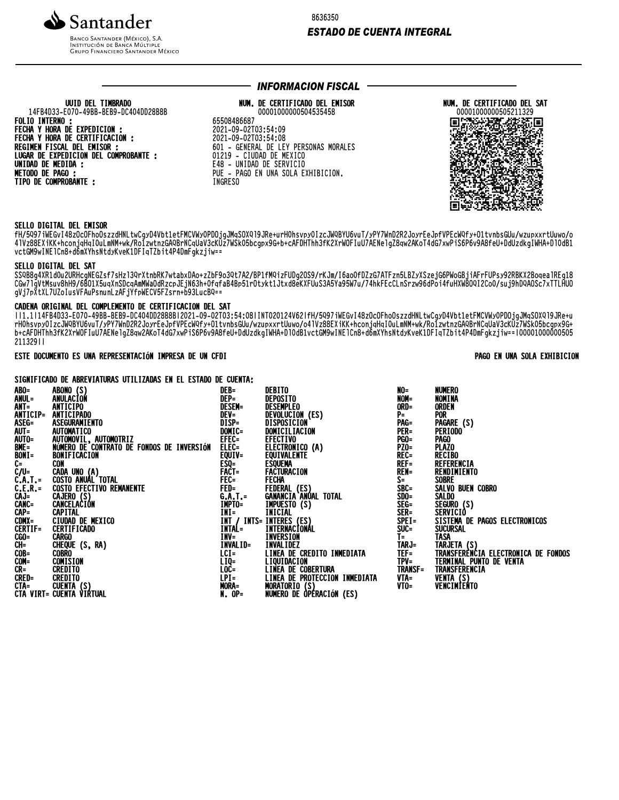

**INSTITUCIÓN DE BANCA MÚLTIPLE**<br>INSTITUCIÓN DE BANCA MÚLTIPLE<br>GRUPO FINANCIERO SANTANDER MÉXICO

8636350

### **ESTADO DE CUENTA INTEGRAL**

## UUID DEL TIMBRADO 14FB4D33-E070-49BB-BEB9-DC404DD28B8B **FOLIO INTERNO:** FECHA Y HORA DE EXPEDICION :<br>FECHA Y HORA DE CERTIFICACION : REGIMEN FISCAL DEL EMISOR : LUGAR DE EXPEDICION DEL COMPROBANTE : **UNIDAD DE MEDIDA :<br>METODO DE PAGO :** TIPO DE COMPROBANTE :

## **INFORMACION FISCAL ·**

#### NUM. DE CERTIFICADO DEL EMISOR 00001000000504535458

65508486687 2021-09-02T03:54:09 2021-09-02T03:54:08 601 - GENERAL DE LEY PERSONAS MORALES 01219 - CIUDAD DE MEXICO E48 - UNIDAD DE SERVICIO PUE - PAGO EN UNA SOLA EXHIBICION. **INGRESO** 



#### SELLO DIGITAL DEL EMISOR

fH/5097iWEGvI48zOcOFhoOszzdHNLtwCgyD4Vbt1etFMCVWyOPDOjgJMqSOX019JRe+urHOhsvpyOIzcJWQBYU6vuT/yPY7WnD2R2JoyrEeJpfVPEcWQfy+O1tvnbsGUu/wzupxxrtUuwo/o 41Vz88EXiKK+hconjqHqIOuLmNM+wk/RolzwtnzGAQBrNCqUaV3cKUz7WSkO5bcgpx9G+b+cAFDHThh3fK2XrWOFIuU7AENe1gZ8qw2AKoT4dG7xwPiS6P6v9A8feU+DdUzdkgIWHA+D10dBI<br>vctGM9wINE1Cn8+d6mXYhsNtdyKveK1DFIqTZbit4P4DmFgkzjiw==

#### SELLO DIGITAL DEL SAT

SSQB8g4XR1dOuZURHcgNEGZsf7sHz13QrXtnbRK7wtabxDAo+zZbF9o3Qt7A2/BP1fMQizFUDg2OS9/rKJm/I6aoOfDZzG7ATFzn5LBZyXSzejG6PWoGBjiAFrFUPsy92RBKX2Boqea1REg18<br>CGw7lgVtMsuv8hH9/6BO1X5uqXnSDcqAmMWaOdRzcpJEjN63h+OfqfaB4Bp51rOtykt1Jtxd8eKX gVj7pXtXL7UZoIusVFAuPsnunLzAFjYfpWECV5FZsrn+b93LucBQ==

#### CADENA ORIGINAL DEL COMPLEMENTO DE CERTIFICACION DEL SAT

ll1.1l14FB4D33-E070-49BB-BEB9-DC404DD28B8Bl2021-09-02T03:54:08lINT020124V62lfH/5Q97iWEGvI48zOcOFhoOszzdHNLtwCgyD4Vbt1etFMCVWy0PD0jgJMqS0XQ19JRe+u rHOhsvpyOIzcJWQBYU6vuT/yPY7WnD2R2JoyrEeJpfVPEcWQfy+O1tvnbsGUu/wzupxxrtUuwo/o41Vz88EXiKK+hconjaHqIOuLmNM+wk/RolzwtnzGAQBrNCqUaV3cKUz7WSk05bcgpx9G+<br>h+cAFDHThh3fK2XrWOFIuU7AENe1gZ8qw2AKoT4dG7xwPiS6P6v9A8feU+DdUzdkgIWHA+D10dB1 21132911

### ESTE DOCUMENTO ES UNA REPRESENTACIÓN IMPRESA DE UN CFDI

#### PAGO EN UNA SOLA EXHIBICION

SIGNIFICADO DE ABREVIATURAS UTILIZADAS EN EL ESTADO DE CUENTA:

| ABO=                                                 | ABONO (S)                                 | DEB=                | DEBITO                                         | NO=            | NUMERO                              |
|------------------------------------------------------|-------------------------------------------|---------------------|------------------------------------------------|----------------|-------------------------------------|
| ANUL=                                                | ANULACION                                 | DEP=                | DEPOSITO                                       | NOM=           | NOMINA                              |
| ANT=                                                 | ANTICIPO                                  | <b>DESEM=</b>       | DESEMPLEO                                      | ORD=           | <b>ORDEN</b>                        |
| ANTICIP=                                             | <b>ANTICIPADO</b>                         | DEV=                | DEVOLUCION (ES)                                | $P =$          | <b>POR</b>                          |
| ASEG=                                                | ASEGURAMIENTO                             | $\overline{DISP} =$ | DISPOSICION                                    | PAG=           | PAGARE (S)                          |
|                                                      | <b>AUTOMATICO</b>                         | DOMIC=              | DOMICILIACION                                  | PER=           | PERIODO                             |
| AUT=<br>AUTO=                                        | AUTOMOVIL, AUTOMOTRIZ                     | EFEC=               | <b>EFECTIVO</b>                                | <b>PGO=</b>    | <b>PAGO</b>                         |
|                                                      | NÚMERO DE CONTRATO DE FONDOS DE INVERSIÓN | ELEC=               | ELECTRONICO (A)                                | <b>PZ0=</b>    | <b>PLAZO</b>                        |
| BME=<br>Bont=<br>C=                                  | BONIFICACION                              | EQUIV=              | EQUIVALENTE                                    | REC=           | <b>RECIBO</b>                       |
|                                                      | <b>CON</b>                                | $ESQ=$              | ESQUEMA                                        | $REF=$         | REFERENCIA                          |
| C/U=<br>C.A.T.=<br>C.A.T.=<br>CAJ=<br>CANC=<br>CANC= | CADA UNO (A)                              | FACT=               | <b>FACTURACION</b>                             | <b>REN=</b>    | RENDIMIENTO                         |
|                                                      | COSTO ANUAL'TOTAL                         | FEC=                | Fecha                                          | $S =$          | <b>SOBRE</b>                        |
|                                                      | <b>COSTO EFECTIVO REMANENTE</b>           | FED=                | FEDERAL (ES)                                   | SBC=           | SALVO BUEN COBRO                    |
|                                                      | CAJERO (S)                                | $6.A.T. =$          | GANANCIA ANÚAL TOTAL                           | SDO=           | <b>SALDO</b>                        |
|                                                      | CANCELACIÓN                               | IMPTO=              | IMPUESTO (S)                                   | SEG=           | SEGURO (S)                          |
| CAP=<br>CDMX=                                        | <b>CAPITAL</b>                            | INI=                | INICIAL                                        | SER=           | SERVICIÒ                            |
|                                                      | CIUDAD DE MEXICO                          |                     | INT / INTS= INTERES (ES)                       | $SPEI =$       | SISTEMA DE PAGOS ELECTRONICOS       |
| CERTIF=                                              | <b>CERTIFICADO</b>                        | INTAL=              | INTERNACIONÁL                                  | SUC=           | <b>SUCURSAL</b>                     |
|                                                      | <b>CARGO</b>                              | INV=                | INVERSION                                      | $I =$          | <b>TASA</b>                         |
| CGO=<br>CGO=<br>CH=<br>COB=<br>CR=<br>CRED=<br>CRED= | CHEQUE (S, RA)                            | INVALID=            | <b>INVALIDEZ</b>                               | TARJ=          | TARJETA (S)                         |
|                                                      | <b>COBRO</b>                              | $LCI =$             | LINEA DE CREDITO INMEDIATA                     | TEF=           | TRANSFERÈNCIA ELECTRONICA DE FONDOS |
|                                                      | <b>COMISION</b>                           | LIQ=                | LIQUIDACION                                    | TPV=           | TERMINAL PUNTO DE VENTA             |
|                                                      | <b>CREDITO</b>                            | LOC=                | LINEA DE COBERTURA                             | <b>TRANSF=</b> | TRANSFERENCIA                       |
|                                                      | CREDITO                                   | $LPI =$             | LINEA DE PROTECCIÓN INMEDIATA<br>MORATORIO (S) | VTA=           | VENTA (S)<br>VENCIMIENTO            |
|                                                      |                                           | MORA=               |                                                | VTO=           |                                     |
|                                                      |                                           | <b>N. OP=</b>       | NUMERO DE ÒPÉRACIÓN (ES)                       |                |                                     |